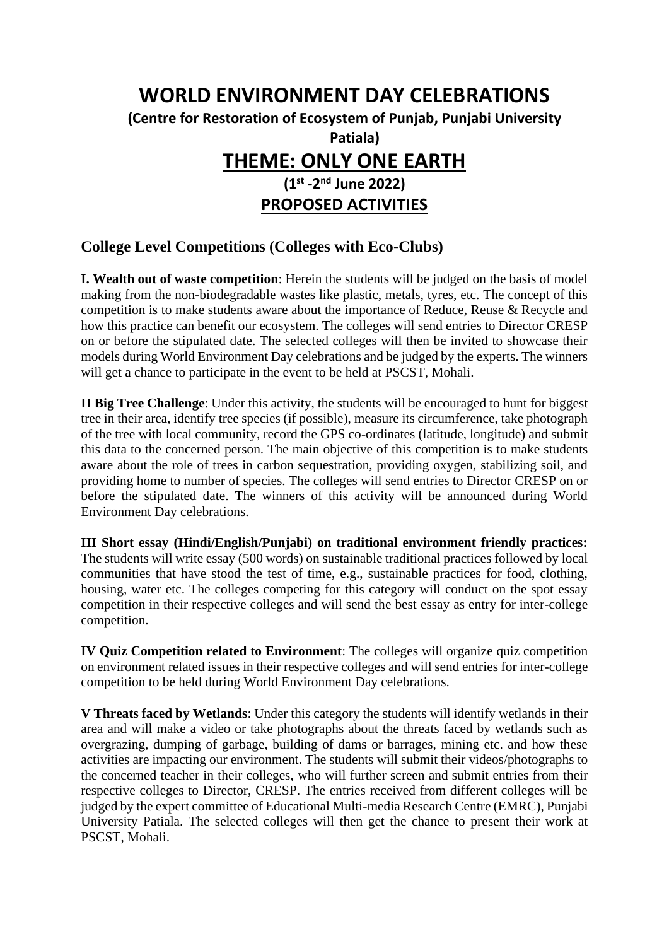## **WORLD ENVIRONMENT DAY CELEBRATIONS (Centre for Restoration of Ecosystem of Punjab, Punjabi University Patiala) THEME: ONLY ONE EARTH (1st -2 nd June 2022) PROPOSED ACTIVITIES**

## **College Level Competitions (Colleges with Eco-Clubs)**

**I. Wealth out of waste competition**: Herein the students will be judged on the basis of model making from the non-biodegradable wastes like plastic, metals, tyres, etc. The concept of this competition is to make students aware about the importance of Reduce, Reuse & Recycle and how this practice can benefit our ecosystem. The colleges will send entries to Director CRESP on or before the stipulated date. The selected colleges will then be invited to showcase their models during World Environment Day celebrations and be judged by the experts. The winners will get a chance to participate in the event to be held at PSCST, Mohali.

**II Big Tree Challenge**: Under this activity, the students will be encouraged to hunt for biggest tree in their area, identify tree species (if possible), measure its circumference, take photograph of the tree with local community, record the GPS co-ordinates (latitude, longitude) and submit this data to the concerned person. The main objective of this competition is to make students aware about the role of trees in carbon sequestration, providing oxygen, stabilizing soil, and providing home to number of species. The colleges will send entries to Director CRESP on or before the stipulated date. The winners of this activity will be announced during World Environment Day celebrations.

**III Short essay (Hindi/English/Punjabi) on traditional environment friendly practices:**  The students will write essay (500 words) on sustainable traditional practices followed by local communities that have stood the test of time, e.g., sustainable practices for food, clothing, housing, water etc. The colleges competing for this category will conduct on the spot essay competition in their respective colleges and will send the best essay as entry for inter-college competition.

**IV Quiz Competition related to Environment**: The colleges will organize quiz competition on environment related issues in their respective colleges and will send entries for inter-college competition to be held during World Environment Day celebrations.

**V Threats faced by Wetlands**: Under this category the students will identify wetlands in their area and will make a video or take photographs about the threats faced by wetlands such as overgrazing, dumping of garbage, building of dams or barrages, mining etc. and how these activities are impacting our environment. The students will submit their videos/photographs to the concerned teacher in their colleges, who will further screen and submit entries from their respective colleges to Director, CRESP. The entries received from different colleges will be judged by the expert committee of Educational Multi-media Research Centre (EMRC), Punjabi University Patiala. The selected colleges will then get the chance to present their work at PSCST, Mohali.